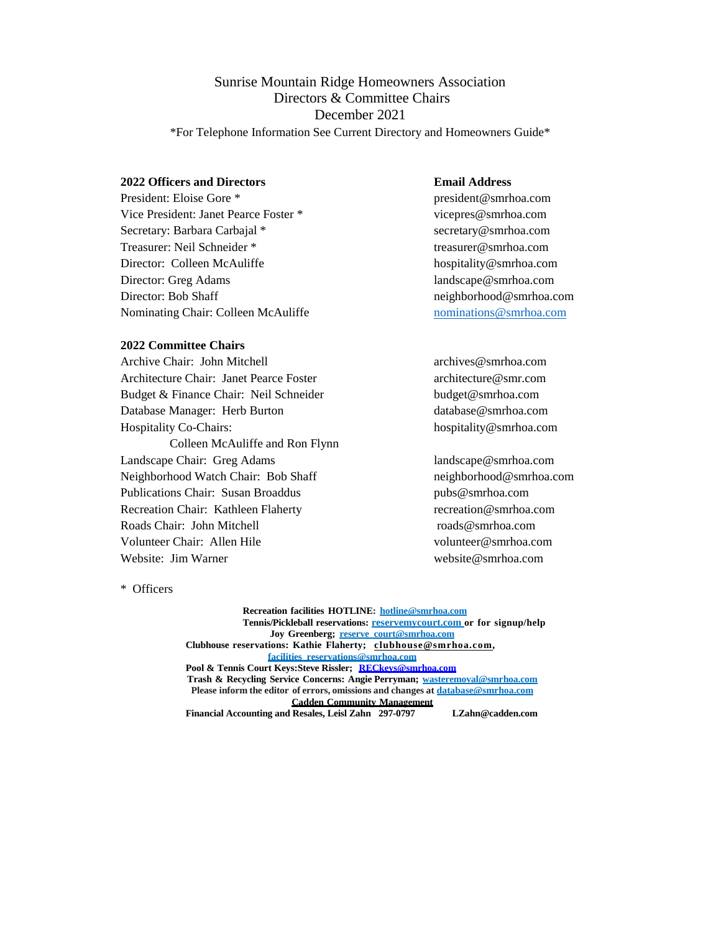# Sunrise Mountain Ridge Homeowners Association Directors & Committee Chairs December 2021

\*For Telephone Information See Current Directory and Homeowners Guide\*

# **2022 Officers and Directors Email Address**

President: Eloise Gore \* president@smrhoa.com Vice President: Janet Pearce Foster \* vicepres@smrhoa.com Secretary: Barbara Carbajal \* secretary@smrhoa.com Treasurer: Neil Schneider \* treasurer@smrhoa.com Director: Colleen McAuliffe hospitality@smrhoa.com Director: Greg Adams landscape@smrhoa.com Director: Bob Shaff neighborhood@smrhoa.com Nominating Chair: Colleen McAuliffe nominations as mominations as mominations as mominations as  $\omega$  smrhoa.com

### **2022 Committee Chairs**

Archive Chair: John Mitchell **archives** archives @smrhoa.com Architecture Chair: Janet Pearce Foster architecture@smr.com Budget & Finance Chair: Neil Schneider budget@smrhoa.com Database Manager: Herb Burton database@smrhoa.com Hospitality Co-Chairs: hospitality@smrhoa.com Colleen McAuliffe and Ron Flynn Landscape Chair: Greg Adams landscape@smrhoa.com Neighborhood Watch Chair: Bob Shaff neighborhood@smrhoa.com Publications Chair: Susan Broaddus pubs@smrhoa.com Recreation Chair: Kathleen Flaherty recreation@smrhoa.com Roads Chair: John Mitchell roads @smrhoa.com Volunteer Chair: Allen Hile volunteer@smrhoa.com Website: Jim Warner website@smrhoa.com

\* Officers

**Recreation facilities HOTLINE: hotline@smrhoa.com Tennis/Pickleball reservations: reservemycourt.com or for signup/help Joy Greenberg; reserve\_court@smrhoa.com Clubhouse reservations: Kathie Flaherty; clubhouse@smrhoa.com, facilities\_reservations@smrhoa.com Pool & Tennis Court Keys:Steve Rissler; RECkeys@smrhoa.com Trash & Recycling Service Concerns: Angie Perryman; wasteremoval@smrhoa.com Please inform the editor of errors, omissions and changes at database@smrhoa.com Cadden Community Management Financial Accounting and Resales, Leisl Zahn 297-0797 LZahn@cadden.com**